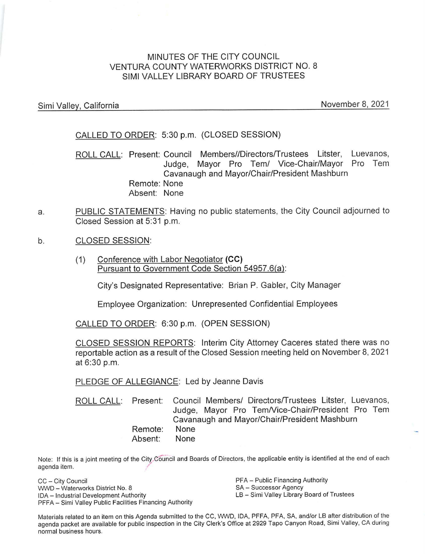# MINUTES OF THE CITY COUNCIL VENTURA COUNTY WATERWORKS DISTRICT NO. 8 SIMI VALLEY LIBRARY BOARD OF TRUSTEES

Simi Valley, California

November 8, 2021

CALLED TO ORDER: 5:30 p.m. (CLOSED SESSION)

ROLL CALL: Present: Council Members//Directors/Trustees Litster, Luevanos, Judge, Mayor Pro Tern/ Vice-Chair/Mayor Pro Tern Cavanaugh and Mayor/Chair/President Mashburn Remote: None Absent: None

- a. PUBLIC STATEMENTS: Having no public statements, the City Council adjourned to Closed Session at 5:31 p.m.
- b. CLOSED SESSION:
	- (1) Conference with Labor Negotiator **(CC)**  Pursuant to Government Code Section 54957.6(a):

City's Designated Representative: Brian P. Gabler, City Manager

Employee Organization: Unrepresented Confidential Employees

CALLED TO ORDER: 6:30 p.m. (OPEN SESSION)

CLOSED SESSION REPORTS: Interim City Attorney Caceres stated there was no reportable action as a result of the Closed Session meeting held on November 8, 2021 at 6:30 p.m.

PLEDGE OF ALLEGIANCE: Led by Jeanne Davis

ROLL CALL: Present: Remote: Absent: Council Members/ Directors/Trustees Litster, Luevanos, Judge, Mayor Pro Tem/Vice-Chair/President Pro Tem Cavanaugh and Mayor/Chair/President Mashburn None None

Note: If this is a joint meeting of the City Council and Boards of Directors, the applicable entity is identified at the end of each agenda item.

CC - City Council WWD - Waterworks District No. 8 IDA - Industrial Development Authority PFFA - Simi Valley Public Facilities Financing Authority PFA - Public Financing Authority SA - Successor Agency LB - Simi Valley Library Board of Trustees

Materials related to an item on this Agenda submitted to the CC, WWD, IDA, PFFA, PFA, SA, and/or LB after distribution of the agenda packet are available for public inspection in the City Clerk's Office at 2929 Tapo Canyon Road, Simi Valley, CA during normal business hours.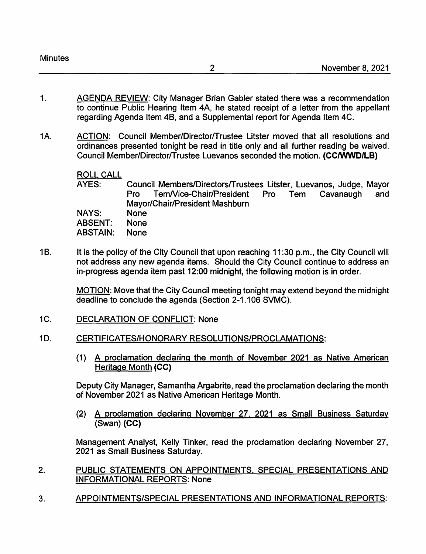| <b>Minutes</b> |  |
|----------------|--|
|----------------|--|

- 1. AGENDA REVIEW: City Manager Brian Gabler stated there was a recommendation to continue Public Hearing Item 4A, he stated receipt of a letter from the appellant regarding Agenda Item 48, and a Supplemental report for Agenda Item 4C.
- 1A. ACTION: Council Member/Directorffrustee Litster moved that all resolutions and ordinances presented tonight be read in title only and all further reading be waived. Council Member/Director/Trustee Luevanos seconded the motion. **(CC/WWD/LB)**

# ROLL CALL

AYES: NAYS: ABSENT: Council Members/Directorsffrustees Litster, Luevanos, Judge, Mayor Pro Tem/Vice-Chair/President Pro Tem Cavanaugh and Mayor/Chair/President Mashburn None None

- ABSTAIN: **None**
- 1B. It is the policy of the City Council that upon reaching 11:30 p.m., the City Council will not address any new agenda items. Should the City Council continue to address an in-progress agenda item past 12:00 midnight, the following motion is in order.

MOTION: Move that the City Council meeting tonight may extend beyond the midnight deadline to conclude the agenda (Section 2-1.106 SVMC).

1C. DECLARATION OF CONFLICT: None

# 1D. CERTIFICATES/HONORARY RESOLUTIONS/PROCLAMATIONS:

(1) A proclamation declaring the month of November 2021 as Native American Heritage Month **(CC)** 

Deputy City Manager, Samantha Argabrite, read the proclamation declaring the month of November 2021 as Native American Heritage Month.

(2) A proclamation declaring November 27. 2021 as Small Business Saturday (Swan) **(CC)** 

Management Analyst, Kelly Tinker, read the proclamation declaring November 27, 2021 as Small Business Saturday.

- 2. PUBLIC STATEMENTS ON APPOINTMENTS, SPECIAL PRESENTATIONS AND INFORMATIONAL REPORTS: None
- 3. APPOINTMENTS/SPECIAL PRESENTATIONS AND INFORMATIONAL REPORTS: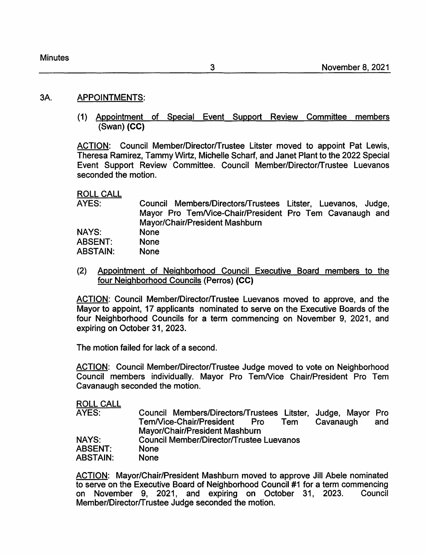#### 3A. APPOINTMENTS:

(1) Appointment of Special Event Support Review Committee members (Swan) **(CC)** 

ACTION: Council Member/Director/Trustee Litster moved to appoint Pat Lewis, Theresa Ramirez, Tammy Wirtz, Michelle Scharf, and Janet Plant to the 2022 Special Event Support Review Committee. Council Member/Director/Trustee Luevanos seconded the motion.

ROLL CALL

| AYES:          | Council Members/Directors/Trustees Litster, Luevanos, Judge, |
|----------------|--------------------------------------------------------------|
|                | Mayor Pro Tem/Vice-Chair/President Pro Tem Cavanaugh and     |
|                | Mayor/Chair/President Mashburn                               |
| <b>NAYS:</b>   | <b>None</b>                                                  |
| <b>ABSENT:</b> | <b>None</b>                                                  |
| ABSTAIN:       | <b>None</b>                                                  |

(2) Appointment of Neighborhood Council Executive Board members to the four Neighborhood Councils (Perras) **(CC)** 

ACTION: Council Member/Director/Trustee Luevanos moved to approve, and the Mayor to appoint, 17 applicants nominated to serve on the Executive Boards of the four Neighborhood Councils for a term commencing on November 9, 2021, and expiring on October 31, 2023.

The motion failed for lack of a second.

ACTION: Council Member/Director/Trustee Judge moved to vote on Neighborhood Council members individually. Mayor Pro Tem/Vice Chair/President Pro Tem Cavanaugh seconded the motion.

ROLL CALL

| AYES:          | Council Members/Directors/Trustees Litster, Judge, Mayor Pro |     |
|----------------|--------------------------------------------------------------|-----|
|                | Tem/Vice-Chair/President<br>Cavanaugh<br>Pro<br>Tem          | and |
|                | Mayor/Chair/President Mashburn                               |     |
| <b>NAYS:</b>   | <b>Council Member/Director/Trustee Luevanos</b>              |     |
| <b>ABSENT:</b> | <b>None</b>                                                  |     |
| ABSTAIN:       | <b>None</b>                                                  |     |

ACTION: Mayor/Chair/President Mashburn moved to approve Jill Abele nominated to serve on the Executive Board of Neighborhood Council #1 for a term commencing on November 9, 2021, and expiring on October 31, 2023. Council Member/Director/Trustee Judge seconded the motion.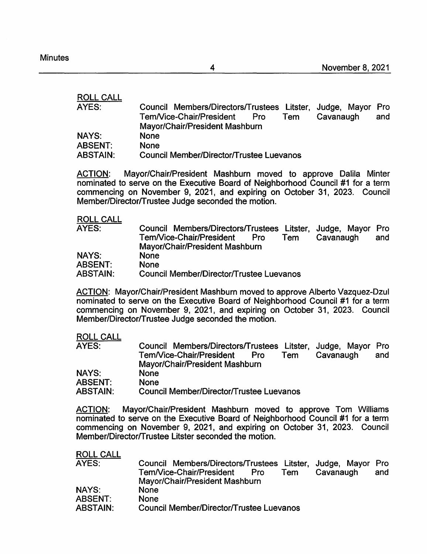ROLL CALL

| AYES:           | Council Members/Directors/Trustees Litster, Judge, Mayor Pro |     |
|-----------------|--------------------------------------------------------------|-----|
|                 | Tem/Vice-Chair/President<br>Cavanaugh<br>Pro<br>Tem          | and |
|                 | Mayor/Chair/President Mashburn                               |     |
| <b>NAYS:</b>    | <b>None</b>                                                  |     |
| <b>ABSENT:</b>  | <b>None</b>                                                  |     |
| <b>ABSTAIN:</b> | <b>Council Member/Director/Trustee Luevanos</b>              |     |

ACTION: Mayor/Chair/President Mashburn moved to approve Dalila Minter nominated to serve on the Executive Board of Neighborhood Council #1 for a term commencing on November 9, 2021, and expiring on October 31, 2023. Council Member/Director/Trustee Judge seconded the motion.

ROLL CALL

| AYES:           | Council Members/Directors/Trustees Litster, Judge, Mayor Pro<br>Tem/Vice-Chair/President<br>Cavanaugh<br>Pro<br>Tem | and |
|-----------------|---------------------------------------------------------------------------------------------------------------------|-----|
|                 | Mayor/Chair/President Mashburn                                                                                      |     |
| NAYS:           | <b>None</b>                                                                                                         |     |
| <b>ABSENT:</b>  | <b>None</b>                                                                                                         |     |
| <b>ABSTAIN:</b> | Council Member/Director/Trustee Luevanos                                                                            |     |

ACTION: Mayor/Chair/President Mashburn moved to approve Alberto Vazquez-Dzul nominated to serve on the Executive Board of Neighborhood Council #1 for a term commencing on November 9, 2021, and expiring on October 31, 2023. Council Member/Director/Trustee Judge seconded the motion.

#### ROLL CALL

| AYES:           | Council Members/Directors/Trustees Litster, Judge, Mayor Pro |     |
|-----------------|--------------------------------------------------------------|-----|
|                 | Tem/Vice-Chair/President<br>Cavanaugh<br>Pro<br>Tem          | and |
|                 | Mayor/Chair/President Mashburn                               |     |
| <b>NAYS:</b>    | <b>None</b>                                                  |     |
| <b>ABSENT:</b>  | <b>None</b>                                                  |     |
| <b>ABSTAIN:</b> | <b>Council Member/Director/Trustee Luevanos</b>              |     |

ACTION: Mayor/Chair/President Mashburn moved to approve Tom Williams nominated to serve on the Executive Board of Neighborhood Council #1 for a term commencing on November 9, 2021, and expiring on October 31, 2023. Council Member/Director/Trustee Litster seconded the motion.

| <b>ROLL CALL</b> |                                                              |
|------------------|--------------------------------------------------------------|
| AYES:            | Council Members/Directors/Trustees Litster, Judge, Mayor Pro |
|                  | Tem/Vice-Chair/President<br>Cavanaugh<br>and<br>Tem<br>Pro   |
|                  | Mayor/Chair/President Mashburn                               |
| <b>NAYS:</b>     | None                                                         |
| <b>ABSENT:</b>   | <b>None</b>                                                  |
| <b>ABSTAIN:</b>  | Council Member/Director/Trustee Luevanos                     |

4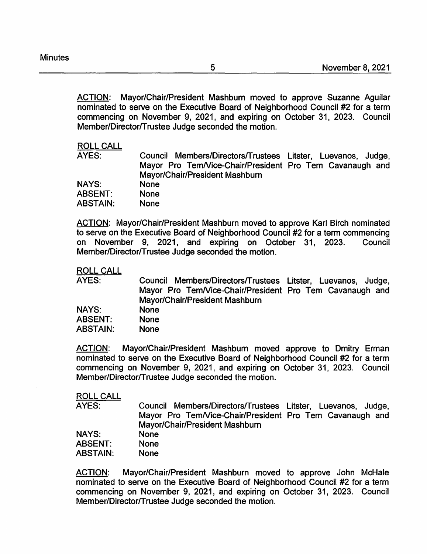ACTION: Mayor/Chair/President Mashburn moved to approve Suzanne Aguilar nominated to serve on the Executive Board of Neighborhood Council #2 for a term commencing on November 9, 2021, and expiring on October 31, 2023. Council Member/Director/Trustee Judge seconded the motion.

#### ROLL CALL

AYES: Council Members/Directors/Trustees Litster, Luevanos, Judge, Mayor Pro Tem/Vice-Chair/President Pro Tem Cavanaugh and Mayor/Chair/President Mashburn

| <b>NAYS:</b> | <b>None</b> |
|--------------|-------------|
| ABSENT:      | None        |
| ABSTAIN:     | <b>None</b> |

ACTION: Mayor/Chair/President Mashburn moved to approve Karl Birch nominated to serve on the Executive Board of Neighborhood Council #2 for a term commencing on November 9, 2021, and expiring on October 31, 2023. Council Member/Director/Trustee Judge seconded the motion.

ROLL CALL

| AYES:           | Council Members/Directors/Trustees Litster, Luevanos, Judge, |
|-----------------|--------------------------------------------------------------|
|                 | Mayor Pro Tem/Vice-Chair/President Pro Tem Cavanaugh and     |
|                 | Mayor/Chair/President Mashburn                               |
| <b>NAYS:</b>    | <b>None</b>                                                  |
| <b>ABSENT:</b>  | <b>None</b>                                                  |
| <b>ABSTAIN:</b> | <b>None</b>                                                  |

ACTION: Mayor/Chair/President Mashburn moved approve to Dmitry Erman nominated to serve on the Executive Board of Neighborhood Council #2 for a term commencing on November 9, 2021, and expiring on October 31, 2023. Council Member/Director/Trustee Judge seconded the motion.

## ROLL CALL

AYES: NAYS: Council Members/Directors/Trustees Litster, Luevanos, Judge, Mayor Pro Tem/Vice-Chair/President Pro Tem Cavanaugh and Mayor/Chair/President Mashburn None

| <b>ABSENT:</b>  | <b>None</b> |
|-----------------|-------------|
| <b>ABSTAIN:</b> | <b>None</b> |

ACTION: Mayor/Chair/President Mashburn moved to approve John McHale nominated to serve on the Executive Board of Neighborhood Council #2 for a term commencing on November 9, 2021, and expiring on October 31, 2023. Council Member/Director/Trustee Judge seconded the motion.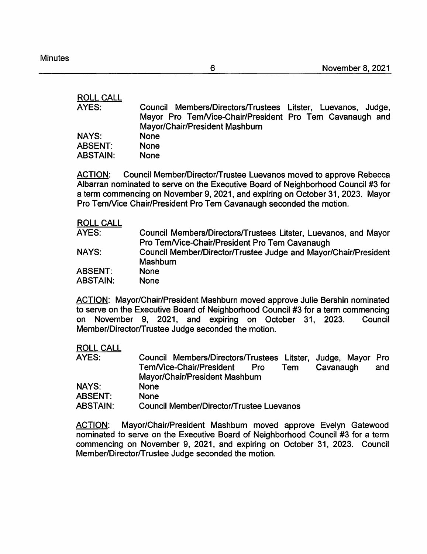# ROLL CALL

| AYES:          | Council Members/Directors/Trustees Litster, Luevanos, Judge, |
|----------------|--------------------------------------------------------------|
|                | Mayor Pro Tem/Vice-Chair/President Pro Tem Cavanaugh and     |
|                | Mayor/Chair/President Mashburn                               |
| <b>NAYS:</b>   | <b>None</b>                                                  |
| <b>ABSENT:</b> | <b>None</b>                                                  |
| ABSTAIN:       | <b>None</b>                                                  |
|                |                                                              |

ACTION: Council Member/Director/Trustee Luevanos moved to approve Rebecca Albarran nominated to serve on the Executive Board of Neighborhood Council #3 for a term commencing on November 9, 2021, and expiring on October 31, 2023. Mayor Pro Tem/Vice Chair/President Pro Tem Cavanaugh seconded the motion.

# ROLL CALL

| AYES:           | Council Members/Directors/Trustees Litster, Luevanos, and Mayor |
|-----------------|-----------------------------------------------------------------|
|                 | Pro Tem/Vice-Chair/President Pro Tem Cavanaugh                  |
| <b>NAYS:</b>    | Council Member/Director/Trustee Judge and Mayor/Chair/President |
|                 | Mashburn                                                        |
| <b>ABSENT:</b>  | <b>None</b>                                                     |
| <b>ABSTAIN:</b> | <b>None</b>                                                     |

ACTION: Mayor/Chair/President Mashburn moved approve Julie Bershin nominated to serve on the Executive Board of Neighborhood Council #3 for a term commencing on November 9, 2021, and expiring on October 31, 2023. Council Member/Director/Trustee Judge seconded the motion.

#### ROLL CALL

| AYES:        | Council Members/Directors/Trustees Litster, Judge, Mayor Pro |     |
|--------------|--------------------------------------------------------------|-----|
|              | Tem/Vice-Chair/President<br>Cavanaugh<br>Tem<br>Pro          | and |
|              | Mayor/Chair/President Mashburn                               |     |
| <b>NAYS:</b> | <b>None</b>                                                  |     |
| ABSENT:      | <b>None</b>                                                  |     |
| ABSTAIN:     | Council Member/Director/Trustee Luevanos                     |     |

ACTION: Mayor/Chair/President Mashburn moved approve Evelyn Gatewood nominated to serve on the Executive Board of Neighborhood Council #3 for a term commencing on November 9, 2021, and expiring on October 31, 2023. Council Member/Director/Trustee Judge seconded the motion.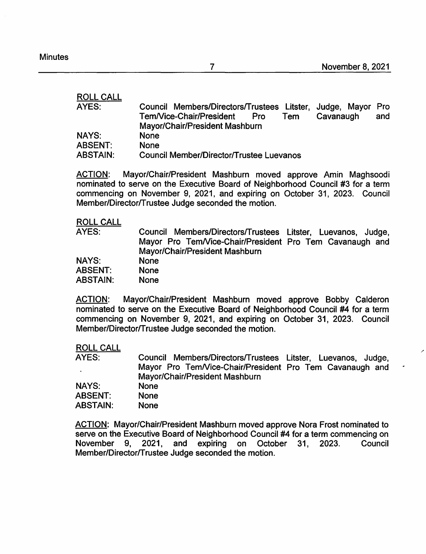/

7

| <b>ROLL CALL</b> |                                                                   |
|------------------|-------------------------------------------------------------------|
| AYES:            | Council Members/Directors/Trustees Litster, Judge, Mayor<br>Pro   |
|                  | Tem/Vice-Chair/President<br>Cavanaugh<br>Tem<br><b>Pro</b><br>and |
|                  | Mayor/Chair/President Mashburn                                    |
| <b>NAYS:</b>     | <b>None</b>                                                       |
| <b>ABSENT:</b>   | <b>None</b>                                                       |
| <b>ABSTAIN:</b>  | <b>Council Member/Director/Trustee Luevanos</b>                   |

ACTION: Mayor/Chair/President Mashburn moved approve Amin Maghsoodi nominated to serve on the Executive Board of Neighborhood Council #3 for a term commencing on November 9, 2021, and expiring on October 31, 2023. Council Member/Director/Trustee Judge seconded the motion.

# ROLL CALL

| AYES:           | Council Members/Directors/Trustees Litster, Luevanos, Judge, |
|-----------------|--------------------------------------------------------------|
|                 | Mayor Pro Tem/Vice-Chair/President Pro Tem Cavanaugh and     |
|                 | Mayor/Chair/President Mashburn                               |
| NAYS:           | <b>None</b>                                                  |
| <b>ABSENT:</b>  | <b>None</b>                                                  |
| <b>ABSTAIN:</b> | <b>None</b>                                                  |

ACTION: Mayor/Chair/President Mashburn moved approve Bobby Calderon nominated to serve on the Executive Board of Neighborhood Council #4 for a term commencing on November 9, 2021, and expiring on October 31, 2023. Council Member/Director/Trustee Judge seconded the motion.

#### ROLL CALL

| AYES:          | Council Members/Directors/Trustees Litster, Luevanos, Judge, |
|----------------|--------------------------------------------------------------|
|                | Mayor Pro Tem/Vice-Chair/President Pro Tem Cavanaugh and     |
|                | Mayor/Chair/President Mashburn                               |
| <b>NAYS:</b>   | <b>None</b>                                                  |
| <b>ABSENT:</b> | <b>None</b>                                                  |
| ABSTAIN:       | <b>None</b>                                                  |

ACTION: Mayor/Chair/President Mashburn moved approve Nora Frost nominated to serve on the Executive Board of Neighborhood Council #4 for a term commencing on November 9, 2021, and expiring on October 31, 2023. Council Member/Director/Trustee Judge seconded the motion.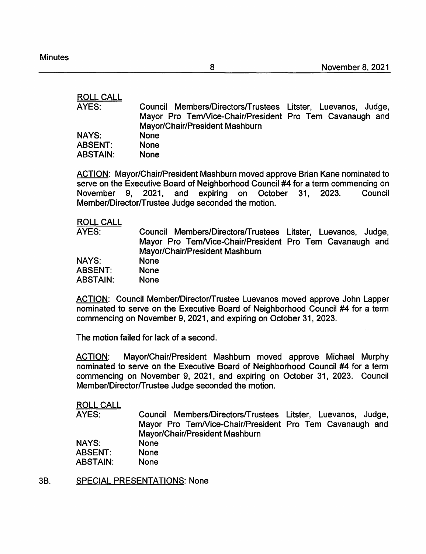ROLL CALL AYES: **NAYS: ABSENT: ABSTAIN:**  Council Members/Directors/Trustees Litster, Luevanos, Judge, Mayor Pro Tem/Vice-Chair/President Pro Tem Cavanaugh and Mayor/Chair/President Mashburn None None None

ACTION: Mayor/Chair/President Mashburn moved approve Brian Kane nominated to serve on the Executive Board of Neighborhood Council #4 for a term commencing on<br>November 9. 2021. and expiring on October 31. 2023. Council November 9, 2021, and expiring on October 31, 2023. Member/Director/Trustee Judge seconded the motion.

#### ROLL CALL

| AYES:           | Council Members/Directors/Trustees Litster, Luevanos, Judge, |
|-----------------|--------------------------------------------------------------|
|                 | Mayor Pro Tem/Vice-Chair/President Pro Tem Cavanaugh and     |
|                 | Mayor/Chair/President Mashburn                               |
| <b>NAYS:</b>    | <b>None</b>                                                  |
| <b>ABSENT:</b>  | <b>None</b>                                                  |
| <b>ABSTAIN:</b> | <b>None</b>                                                  |

ACTION: Council Member/Director/Trustee Luevanos moved approve John Lapper nominated to serve on the Executive Board of Neighborhood Council #4 for a term commencing on November 9, 2021, and expiring on October 31, 2023.

The motion failed for lack of a second.

ACTION: Mayor/Chair/President Mashburn moved approve Michael Murphy nominated to serve on the Executive Board of Neighborhood Council #4 for a term commencing on November 9, 2021, and expiring on October 31, 2023. Council Member/Director/Trustee Judge seconded the motion.

#### ROLL CALL

| AYES:           | Council Members/Directors/Trustees Litster, Luevanos, Judge, |
|-----------------|--------------------------------------------------------------|
|                 | Mayor Pro Tem/Vice-Chair/President Pro Tem Cavanaugh and     |
|                 | Mayor/Chair/President Mashburn                               |
| <b>NAYS:</b>    | None                                                         |
| <b>ABSENT:</b>  | <b>None</b>                                                  |
| <b>ABSTAIN:</b> | <b>None</b>                                                  |

38. SPECIAL PRESENTATIONS: None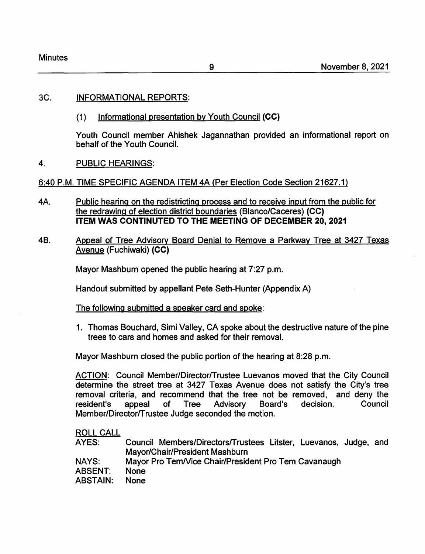| <b>Minutes</b> |  |
|----------------|--|
|----------------|--|

## 3C. INFORMATIONAL REPORTS:

(1) Informational presentation by Youth Council **(CC}** 

Youth Council member Ahishek Jagannathan provided an informational report on behalf of the Youth Council.

4. PUBLIC HEARINGS:

6:40 P.M. TIME SPECIFIC AGENDA ITEM 4A {Per Election Code Section 21627.1)

- 4A. Public hearing on the redistricting process and to receive input from the public for the redrawing of election district boundaries (Blanco/Caceres) **(CC} ITEM WAS CONTINUTED TO THE MEETING OF DECEMBER 20, 2021**
- 48. Appeal of Tree Advisory Board Denial to Remove a Parkway Tree at 3427 Texas Avenue (Fuchiwaki) **(CC}**

Mayor Mashburn opened the public hearing at 7:27 p.m.

Handout submitted by appellant Pete Seth-Hunter (Appendix A)

The following submitted a speaker card and spoke:

1. Thomas Bouchard, Simi Valley, CA spoke about the destructive nature of the pine trees to cars and homes and asked for their removal.

Mayor Mashburn closed the public portion of the hearing at 8:28 p.m.

ACTION: Council Member/Director/Trustee Luevanos moved that the City Council determine the street tree at 3427 Texas Avenue does not satisfy the City's tree removal criteria, and recommend that the tree not be removed, and deny the resident's appeal of Tree Advisory Board's decision. Council Member/Director/Trustee Judge seconded the motion.

# ROLL CALL

- AYES: Council Members/Directors/Trustees Litster, Luevanos, Judge, and Mayor/Chair/President Mashburn
- NAYS: Mayor Pro Tem/Vice Chair/President Pro Tem Cavanaugh
- ABSENT: None
- ABSTAIN: None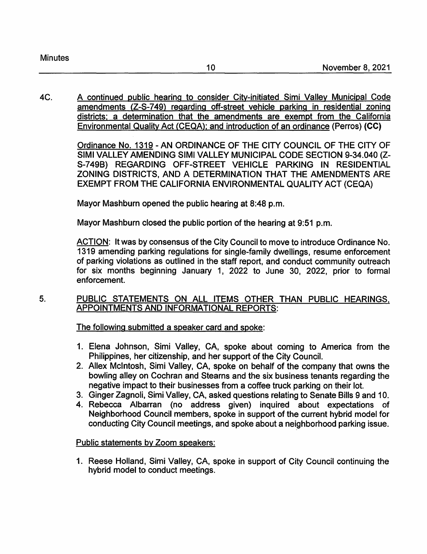4C. A continued public hearing to consider City-initiated Simi Valley Municipal Code amendments {Z-S-7 49) regarding off-street vehicle parking in residential zoning districts; a determination that the amendments are exempt from the California Environmental Quality Act {CEQA); and introduction of an ordinance (Perras) **(CC)** 

> Ordinance No. 1319 -AN ORDINANCE OF THE CITY COUNCIL OF THE CITY OF SIMI VALLEY AMENDING SIMI VALLEY MUNICIPAL CODE SECTION 9-34.040 (Z-S-749B) REGARDING OFF-STREET VEHICLE PARKING IN RESIDENTIAL ZONING DISTRICTS, AND A DETERMINATION THAT THE AMENDMENTS ARE EXEMPT FROM THE CALIFORNIA ENVIRONMENTAL QUALITY ACT (CEQA)

Mayor Mashburn opened the public hearing at 8:48 p.m.

Mayor Mashburn closed the public portion of the hearing at 9:51 p.m.

ACTION: It was by consensus of the City Council to move to introduce Ordinance No. 1319 amending parking regulations for single-family dwellings, resume enforcement of parking violations as outlined in the staff report, and conduct community outreach for six months beginning January 1, 2022 to June 30, 2022, prior to formal enforcement.

# 5. PUBLIC STATEMENTS ON ALL ITEMS OTHER THAN PUBLIC HEARINGS, APPOINTMENTS AND INFORMATIONAL REPORTS:

The following submitted a speaker card and spoke:

- 1. Elena Johnson, Simi Valley, CA, spoke about coming to America from the Philippines, her citizenship, and her support of the City Council.
- 2. Allex McIntosh, Simi Valley, CA, spoke on behalf of the company that owns the bowling alley on Cochran and Stearns and the six business tenants regarding the negative impact to their businesses from a coffee truck parking on their lot.
- 3. Ginger Zagnoli, Simi Valley, CA, asked questions relating to Senate Bills 9 and 10.
- 4. Rebecca Albarran (no address given) inquired about expectations of Neighborhood Council members, spoke in support of the current hybrid model for conducting City Council meetings, and spoke about a neighborhood parking issue.

## Public statements by Zoom speakers:

1. Reese Holland, Simi Valley, CA, spoke in support of City Council continuing the hybrid model to conduct meetings.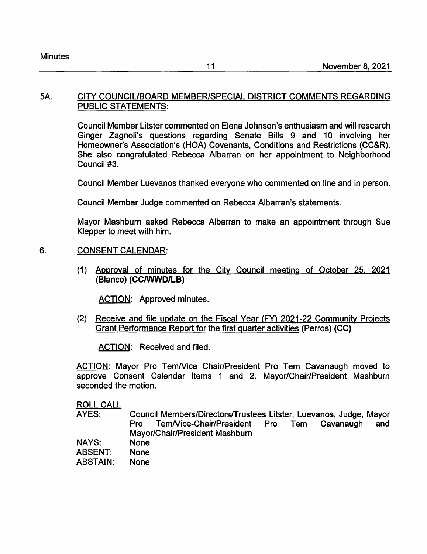#### 5A. CITY COUNCIUBOARD MEMBER/SPECIAL DISTRICT COMMENTS REGARDING PUBLIC STATEMENTS:

Council Member Litster commented on Elena Johnson's enthusiasm and will research Ginger Zagnoli's questions regarding Senate Bills 9 and 10 involving her Homeowner's Association's (HOA) Covenants, Conditions and Restrictions (CC&R). She also congratulated Rebecca Albarran on her appointment to Neighborhood Council #3.

Council Member Luevanos thanked everyone who commented on line and in person.

Council Member Judge commented on Rebecca Albarran's statements.

Mayor Mashburn asked Rebecca Albarran to make an appointment through Sue Klepper to meet with him.

# 6. CONSENT CALENDAR:

(1) Approval of minutes for the City Council meeting of October 25, 2021 (Blanco) **(CC/WWD/LB)** 

ACTION: Approved minutes.

(2) Receive and file update on the Fiscal Year (FY) 2021-22 Community Projects Grant Performance Report for the first quarter activities (Perras) **(CC)** 

ACTION: Received and filed.

ACTION: Mayor Pro Tem/Vice Chair/President Pro Tem Cavanaugh moved to approve Consent Calendar Items 1 and 2. Mayor/Chair/President Mashburn seconded the motion.

ROLL CALL

- AYES: NAYS: Council Members/Directors/Trustees Litster, Luevanos, Judge, Mayor Pro Tem/Vice-Chair/President Pro Tem Cavanaugh and Mayor/Chair/President Mashburn None
- ABSENT: None
- ABSTAIN: None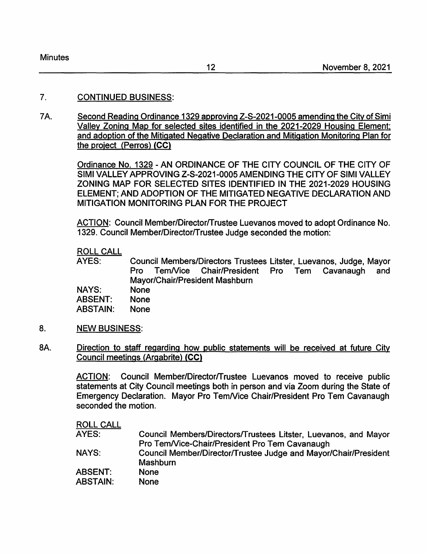# 7. CONTINUED BUSINESS:

7 A. Second Reading Ordinance 1329 approving Z-S-2021-0005 amending the City of Simi Valley Zoning Map for selected sites identified in the 2021-2029 Housing Element: and adoption of the Mitigated Negative Declaration and Mitigation Monitoring Plan for the proiect (Perras) **{CC}** 

> Ordinance No. 1329 -AN ORDINANCE OF THE CITY COUNCIL OF THE CITY OF SIMI VALLEY APPROVING Z-S-2021-0005 AMENDING THE CITY OF SIMI VALLEY ZONING MAP FOR SELECTED SITES IDENTIFIED IN THE 2021-2029 HOUSING ELEMENT; AND ADOPTION OF THE MITIGATED NEGATIVE DECLARATION AND MITIGATION MONITORING PLAN FOR THE PROJECT

> ACTION: Council Member/Director/Trustee Luevanos moved to adopt Ordinance No. 1329. Council Member/Director/Trustee Judge seconded the motion:

## ROLL CALL

AYES: Council Members/Directors Trustees Litster, Luevanos, Judge, Mayor Pro Tem/Vice Chair/President Pro Tem Cavanaugh and Mayor/Chair/President Mashburn

**NAYS:**  ABSENT: None None

ABSTAIN: None

- 8. NEW BUSINESS:
- BA. Direction to staff regarding how public statements will be received at future City Council meetings (Argabrite) **{CC}**

ACTION: Council Member/Director/Trustee Luevanos moved to receive public statements at City Council meetings both in person and via Zoom during the State of Emergency Declaration. Mayor Pro Tem/Vice Chair/President Pro Tem Cavanaugh seconded the motion.

| Council Members/Directors/Trustees Litster, Luevanos, and Mayor |
|-----------------------------------------------------------------|
| Pro Tem/Vice-Chair/President Pro Tem Cavanaugh                  |
| Council Member/Director/Trustee Judge and Mayor/Chair/President |
|                                                                 |
|                                                                 |
|                                                                 |
|                                                                 |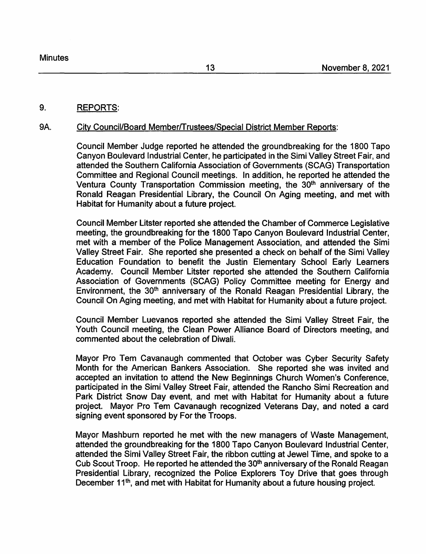#### 9. REPORTS:

#### 9A. City Council/Board Member/Trustees/Special District Member Reports:

Council Member Judge reported he attended the groundbreaking for the 1800 Tapo Canyon Boulevard Industrial Center, he participated in the Simi Valley Street Fair, and attended the Southern California Association of Governments (SCAG) Transportation Committee and Regional Council meetings. In addition, he reported he attended the Ventura County Transportation Commission meeting, the 30<sup>th</sup> anniversary of the Ronald Reagan Presidential Library, the Council On Aging meeting, and met with Habitat for Humanity about a future project.

Council Member Litster reported she attended the Chamber of Commerce Legislative meeting, the groundbreaking for the 1800 Tapo Canyon Boulevard Industrial Center, met with a member of the Police Management Association, and attended the Simi Valley Street Fair. She reported she presented a check on behalf of the Simi Valley Education Foundation to benefit the Justin Elementary School Early Learners Academy. Council Member Litster reported she attended the Southern California Association of Governments (SCAG) Policy Committee meeting for Energy and Environment, the 30<sup>th</sup> anniversary of the Ronald Reagan Presidential Library, the Council On Aging meeting, and met with Habitat for Humanity about a future project.

Council Member Luevanos reported she attended the Simi Valley Street Fair, the Youth Council meeting, the Clean Power Alliance Board of Directors meeting, and commented about the celebration of Diwali.

Mayor Pro Tem Cavanaugh commented that October was Cyber Security Safety Month for the American Bankers Association. She reported she was invited and accepted an invitation to attend the New Beginnings Church Women's Conference, participated in the Simi Valley Street Fair, attended the Rancho Simi Recreation and Park District Snow Day event, and met with Habitat for Humanity about a future project. Mayor Pro Tem Cavanaugh recognized Veterans Day, and noted a card signing event sponsored by For the Troops.

Mayor Mashburn reported he met with the new managers of Waste Management, attended the groundbreaking for the 1800 Tapo Canyon Boulevard Industrial Center, attended the Simi Valley Street Fair, the ribbon cutting at Jewel Time, and spoke to a Cub Scout Troop. He reported he attended the 30<sup>th</sup> anniversary of the Ronald Reagan Presidential Library, recognized the Police Explorers Toy Drive that goes through December 11<sup>th</sup>, and met with Habitat for Humanity about a future housing project.